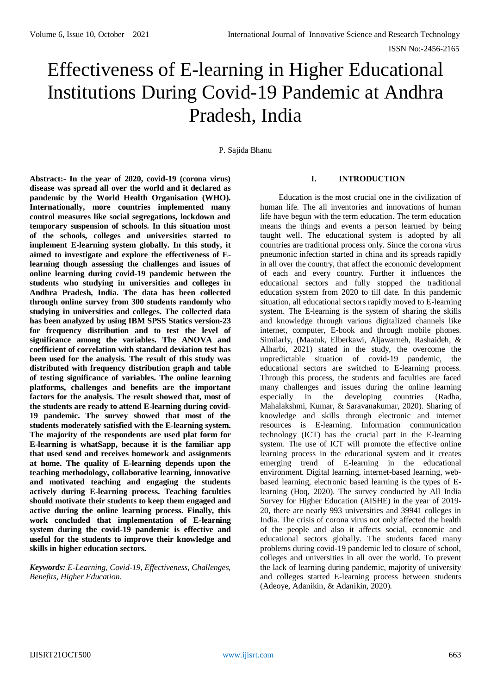# Effectiveness of E-learning in Higher Educational Institutions During Covid-19 Pandemic at Andhra Pradesh, India

P. Sajida Bhanu

**Abstract:- In the year of 2020, covid-19 (corona virus) disease was spread all over the world and it declared as pandemic by the World Health Organisation (WHO). Internationally, more countries implemented many control measures like social segregations, lockdown and temporary suspension of schools. In this situation most of the schools, colleges and universities started to implement E-learning system globally. In this study, it aimed to investigate and explore the effectiveness of Elearning though assessing the challenges and issues of online learning during covid-19 pandemic between the students who studying in universities and colleges in Andhra Pradesh, India. The data has been collected through online survey from 300 students randomly who studying in universities and colleges. The collected data has been analyzed by using IBM SPSS Statics version-23 for frequency distribution and to test the level of significance among the variables. The ANOVA and coefficient of correlation with standard deviation test has been used for the analysis. The result of this study was distributed with frequency distribution graph and table of testing significance of variables. The online learning platforms, challenges and benefits are the important factors for the analysis. The result showed that, most of the students are ready to attend E-learning during covid-19 pandemic. The survey showed that most of the students moderately satisfied with the E-learning system. The majority of the respondents are used plat form for E-learning is whatSapp, because it is the familiar app that used send and receives homework and assignments at home. The quality of E-learning depends upon the teaching methodology, collaborative learning, innovative and motivated teaching and engaging the students actively during E-learning process. Teaching faculties should motivate their students to keep them engaged and active during the online learning process. Finally, this work concluded that implementation of E-learning system during the covid-19 pandemic is effective and useful for the students to improve their knowledge and skills in higher education sectors.**

# *Keywords: E-Learning, Covid-19, Effectiveness, Challenges, Benefits, Higher Education.*

# **I. INTRODUCTION**

Education is the most crucial one in the civilization of human life. The all inventories and innovations of human life have begun with the term education. The term education means the things and events a person learned by being taught well. The educational system is adopted by all countries are traditional process only. Since the corona virus pneumonic infection started in china and its spreads rapidly in all over the country, that affect the economic development of each and every country. Further it influences the educational sectors and fully stopped the traditional education system from 2020 to till date. In this pandemic situation, all educational sectors rapidly moved to E-learning system. The E-learning is the system of sharing the skills and knowledge through various digitalized channels like internet, computer, E-book and through mobile phones. Similarly, [\(Maatuk, Elberkawi, Aljawarneh, Rashaideh, &](https://docs.google.com/document/d/14d1I0_-EH1RoxxK8LMB_R7DRbWTv8_CQ/edit#heading=h.1ksv4uv)  [Alharbi, 2021\)](https://docs.google.com/document/d/14d1I0_-EH1RoxxK8LMB_R7DRbWTv8_CQ/edit#heading=h.1ksv4uv) stated in the study, the overcome the unpredictable situation of covid-19 pandemic, the educational sectors are switched to E-learning process. Through this process, the students and faculties are faced many challenges and issues during the online learning especially in the developing countries [\(Radha,](https://docs.google.com/document/d/14d1I0_-EH1RoxxK8LMB_R7DRbWTv8_CQ/edit#heading=h.4i7ojhp)  [Mahalakshmi, Kumar, & Saravanakumar, 2020\)](https://docs.google.com/document/d/14d1I0_-EH1RoxxK8LMB_R7DRbWTv8_CQ/edit#heading=h.4i7ojhp). Sharing of knowledge and skills through electronic and internet resources is E-learning. Information communication technology (ICT) has the crucial part in the E-learning system. The use of ICT will promote the effective online learning process in the educational system and it creates emerging trend of E-learning in the educational environment. Digital learning, internet-based learning, webbased learning, electronic based learning is the types of Elearning [\(Hoq, 2020\)](https://docs.google.com/document/d/14d1I0_-EH1RoxxK8LMB_R7DRbWTv8_CQ/edit#heading=h.lnxbz9). The survey conducted by All India Survey for Higher Education (AISHE) in the year of 2019- 20, there are nearly 993 universities and 39941 colleges in India. The crisis of corona virus not only affected the health of the people and also it affects social, economic and educational sectors globally. The students faced many problems during covid-19 pandemic led to closure of school, colleges and universities in all over the world. To prevent the lack of learning during pandemic, majority of university and colleges started E-learning process between students [\(Adeoye, Adanikin, & Adanikin, 2020\)](https://docs.google.com/document/d/14d1I0_-EH1RoxxK8LMB_R7DRbWTv8_CQ/edit#heading=h.3znysh7).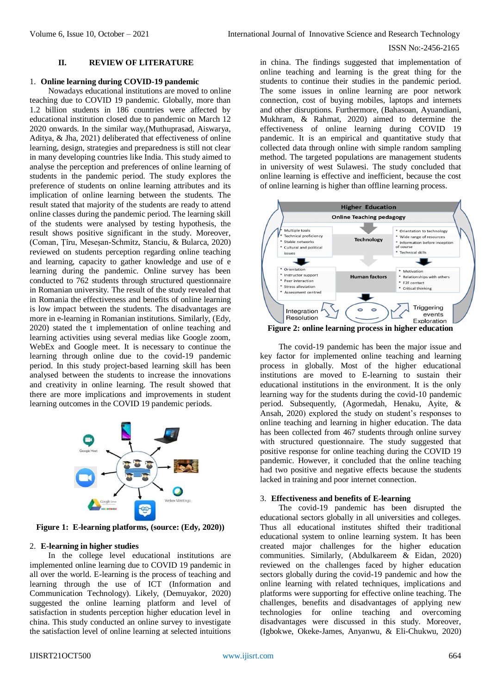## **II. REVIEW OF LITERATURE**

#### 1. **Online learning during COVID-19 pandemic**

Nowadays educational institutions are moved to online teaching due to COVID 19 pandemic. Globally, more than 1.2 billion students in 186 countries were affected by educational institution closed due to pandemic on March 12 2020 onwards. In the similar way,[\(Muthuprasad, Aiswarya,](https://docs.google.com/document/d/14d1I0_-EH1RoxxK8LMB_R7DRbWTv8_CQ/edit#heading=h.z337ya)  [Aditya, & Jha, 2021\)](https://docs.google.com/document/d/14d1I0_-EH1RoxxK8LMB_R7DRbWTv8_CQ/edit#heading=h.z337ya) deliberated that effectiveness of online learning, design, strategies and preparedness is still not clear in many developing countries like India. This study aimed to analyse the perception and preferences of online learning of students in the pandemic period. The study explores the preference of students on online learning attributes and its implication of online learning between the students. The result stated that majority of the students are ready to attend online classes during the pandemic period. The learning skill of the students were analysed by testing hypothesis, the result shows positive significant in the study. Moreover, [\(Coman, Țîru, Meseșan-Schmitz, Stanciu, & Bularca, 2020\)](https://docs.google.com/document/d/14d1I0_-EH1RoxxK8LMB_R7DRbWTv8_CQ/edit#heading=h.2s8eyo1) reviewed on students perception regarding online teaching and learning, capacity to gather knowledge and use of e learning during the pandemic. Online survey has been conducted to 762 students through structured questionnaire in Romanian university. The result of the study revealed that in Romania the effectiveness and benefits of online learning is low impact between the students. The disadvantages are more in e-learning in Romanian institutions. Similarly, [\(Edy,](https://docs.google.com/document/d/14d1I0_-EH1RoxxK8LMB_R7DRbWTv8_CQ/edit#heading=h.3rdcrjn)  [2020\)](https://docs.google.com/document/d/14d1I0_-EH1RoxxK8LMB_R7DRbWTv8_CQ/edit#heading=h.3rdcrjn) stated the t implementation of online teaching and learning activities using several medias like Google zoom, WebEx and Google meet. It is necessary to continue the learning through online due to the covid-19 pandemic period. In this study project-based learning skill has been analysed between the students to increase the innovations and creativity in online learning. The result showed that there are more implications and improvements in student learning outcomes in the COVID 19 pandemic periods.



**Figure 1: E-learning platforms, (source: [\(Edy, 2020\)](https://docs.google.com/document/d/14d1I0_-EH1RoxxK8LMB_R7DRbWTv8_CQ/edit#heading=h.3rdcrjn))**

#### 2. **E-learning in higher studies**

In the college level educational institutions are implemented online learning due to COVID 19 pandemic in all over the world. E-learning is the process of teaching and learning through the use of ICT (Information and Communication Technology). Likely, [\(Demuyakor, 2020\)](https://docs.google.com/document/d/14d1I0_-EH1RoxxK8LMB_R7DRbWTv8_CQ/edit#heading=h.17dp8vu) suggested the online learning platform and level of satisfaction in students perception higher education level in china. This study conducted an online survey to investigate the satisfaction level of online learning at selected intuitions

in china. The findings suggested that implementation of online teaching and learning is the great thing for the students to continue their studies in the pandemic period. The some issues in online learning are poor network connection, cost of buying mobiles, laptops and internets and other disruptions. Furthermore, [\(Bahasoan, Ayuandiani,](https://docs.google.com/document/d/14d1I0_-EH1RoxxK8LMB_R7DRbWTv8_CQ/edit#heading=h.4d34og8)  [Mukhram, & Rahmat, 2020\)](https://docs.google.com/document/d/14d1I0_-EH1RoxxK8LMB_R7DRbWTv8_CQ/edit#heading=h.4d34og8) aimed to determine the effectiveness of online learning during COVID 19 pandemic. It is an empirical and quantitative study that collected data through online with simple random sampling method. The targeted populations are management students in university of west Sulawesi. The study concluded that online learning is effective and inefficient, because the cost of online learning is higher than offline learning process.



The covid-19 pandemic has been the major issue and key factor for implemented online teaching and learning process in globally. Most of the higher educational institutions are moved to E-learning to sustain their educational institutions in the environment. It is the only learning way for the students during the covid-10 pandemic period. Subsequently, [\(Agormedah, Henaku, Ayite, &](https://docs.google.com/document/d/14d1I0_-EH1RoxxK8LMB_R7DRbWTv8_CQ/edit#heading=h.2et92p0)  [Ansah, 2020\)](https://docs.google.com/document/d/14d1I0_-EH1RoxxK8LMB_R7DRbWTv8_CQ/edit#heading=h.2et92p0) explored the study on student's responses to online teaching and learning in higher education. The data has been collected from 467 students through online survey with structured questionnaire. The study suggested that positive response for online teaching during the COVID 19 pandemic. However, it concluded that the online teaching had two positive and negative effects because the students lacked in training and poor internet connection.

#### 3. **Effectiveness and benefits of E-learning**

The covid-19 pandemic has been disrupted the educational sectors globally in all universities and colleges. Thus all educational institutes shifted their traditional educational system to online learning system. It has been created major challenges for the higher education communities. Similarly, [\(Abdulkareem & Eidan, 2020\)](https://docs.google.com/document/d/14d1I0_-EH1RoxxK8LMB_R7DRbWTv8_CQ/edit#heading=h.30j0zll) reviewed on the challenges faced by higher education sectors globally during the covid-19 pandemic and how the online learning with related techniques, implications and platforms were supporting for effective online teaching. The challenges, benefits and disadvantages of applying new technologies for online teaching and overcoming disadvantages were discussed in this study. Moreover, [\(Igbokwe, Okeke-James, Anyanwu, & Eli-Chukwu, 2020\)](https://docs.google.com/document/d/14d1I0_-EH1RoxxK8LMB_R7DRbWTv8_CQ/edit#heading=h.35nkun2)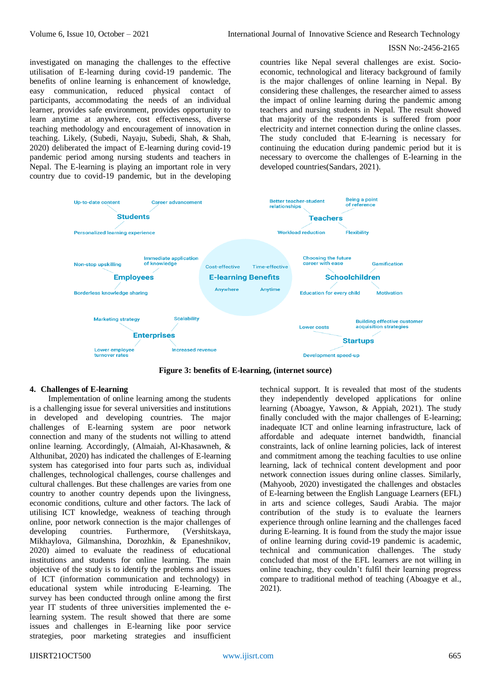investigated on managing the challenges to the effective utilisation of E-learning during covid-19 pandemic. The benefits of online learning is enhancement of knowledge, easy communication, reduced physical contact of participants, accommodating the needs of an individual learner, provides safe environment, provides opportunity to learn anytime at anywhere, cost effectiveness, diverse teaching methodology and encouragement of innovation in teaching. Likely, [\(Subedi, Nayaju, Subedi, Shah, & Shah,](https://docs.google.com/document/d/14d1I0_-EH1RoxxK8LMB_R7DRbWTv8_CQ/edit#heading=h.3whwml4)  [2020\)](https://docs.google.com/document/d/14d1I0_-EH1RoxxK8LMB_R7DRbWTv8_CQ/edit#heading=h.3whwml4) deliberated the impact of E-learning during covid-19 pandemic period among nursing students and teachers in Nepal. The E-learning is playing an important role in very country due to covid-19 pandemic, but in the developing

countries like Nepal several challenges are exist. Socioeconomic, technological and literacy background of family is the major challenges of online learning in Nepal. By considering these challenges, the researcher aimed to assess the impact of online learning during the pandemic among teachers and nursing students in Nepal. The result showed that majority of the respondents is suffered from poor electricity and internet connection during the online classes. The study concluded that E-learning is necessary for continuing the education during pandemic period but it is necessary to overcome the challenges of E-learning in the developed countries[\(Sandars, 2021\)](https://docs.google.com/document/d/14d1I0_-EH1RoxxK8LMB_R7DRbWTv8_CQ/edit#heading=h.2xcytpi).



**Figure 3: benefits of E-learning, (internet source)**

# **4. Challenges of E-learning**

Implementation of online learning among the students is a challenging issue for several universities and institutions in developed and developing countries. The major challenges of E-learning system are poor network connection and many of the students not willing to attend online learning. Accordingly, [\(Almaiah, Al-Khasawneh, &](https://docs.google.com/document/d/14d1I0_-EH1RoxxK8LMB_R7DRbWTv8_CQ/edit#heading=h.tyjcwt)  [Althunibat, 2020\)](https://docs.google.com/document/d/14d1I0_-EH1RoxxK8LMB_R7DRbWTv8_CQ/edit#heading=h.tyjcwt) has indicated the challenges of E-learning system has categorised into four parts such as, individual challenges, technological challenges, course challenges and cultural challenges. But these challenges are varies from one country to another country depends upon the livingness, economic conditions, culture and other factors. The lack of utilising ICT knowledge, weakness of teaching through online, poor network connection is the major challenges of developing countries. Furthermore, [\(Vershitskaya,](https://docs.google.com/document/d/14d1I0_-EH1RoxxK8LMB_R7DRbWTv8_CQ/edit#heading=h.2bn6wsx)  [Mikhaylova, Gilmanshina, Dorozhkin, & Epaneshnikov,](https://docs.google.com/document/d/14d1I0_-EH1RoxxK8LMB_R7DRbWTv8_CQ/edit#heading=h.2bn6wsx)  [2020\)](https://docs.google.com/document/d/14d1I0_-EH1RoxxK8LMB_R7DRbWTv8_CQ/edit#heading=h.2bn6wsx) aimed to evaluate the readiness of educational institutions and students for online learning. The main objective of the study is to identify the problems and issues of ICT (information communication and technology) in educational system while introducing E-learning. The survey has been conducted through online among the first year IT students of three universities implemented the elearning system. The result showed that there are some issues and challenges in E-learning like poor service strategies, poor marketing strategies and insufficient

technical support. It is revealed that most of the students they independently developed applications for online learning [\(Aboagye, Yawson, & Appiah, 2021\)](https://docs.google.com/document/d/14d1I0_-EH1RoxxK8LMB_R7DRbWTv8_CQ/edit#heading=h.1fob9te). The study finally concluded with the major challenges of E-learning; inadequate ICT and online learning infrastructure, lack of affordable and adequate internet bandwidth, financial constraints, lack of online learning policies, lack of interest and commitment among the teaching faculties to use online learning, lack of technical content development and poor network connection issues during online classes. Similarly, [\(Mahyoob, 2020\)](https://docs.google.com/document/d/14d1I0_-EH1RoxxK8LMB_R7DRbWTv8_CQ/edit#heading=h.44sinio) investigated the challenges and obstacles of E-learning between the English Language Learners (EFL) in arts and science colleges, Saudi Arabia. The major contribution of the study is to evaluate the learners experience through online learning and the challenges faced during E-learning. It is found from the study the major issue of online learning during covid-19 pandemic is academic, technical and communication challenges. The study concluded that most of the EFL learners are not willing in online teaching, they couldn't fulfil their learning progress compare to traditional method of teaching [\(Aboagye et al.,](https://docs.google.com/document/d/14d1I0_-EH1RoxxK8LMB_R7DRbWTv8_CQ/edit#heading=h.1fob9te) [2021\)](https://docs.google.com/document/d/14d1I0_-EH1RoxxK8LMB_R7DRbWTv8_CQ/edit#heading=h.1fob9te).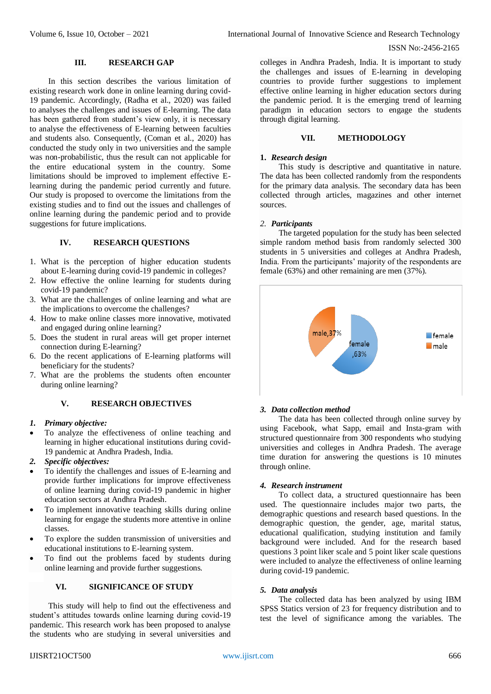## **III. RESEARCH GAP**

In this section describes the various limitation of existing research work done in online learning during covid-19 pandemic. Accordingly, [\(Radha et al., 2020\)](https://docs.google.com/document/d/14d1I0_-EH1RoxxK8LMB_R7DRbWTv8_CQ/edit#heading=h.4i7ojhp) was failed to analyses the challenges and issues of E-learning. The data has been gathered from student's view only, it is necessary to analyse the effectiveness of E-learning between faculties and students also. Consequently, [\(Coman et al., 2020\)](https://docs.google.com/document/d/14d1I0_-EH1RoxxK8LMB_R7DRbWTv8_CQ/edit#heading=h.2s8eyo1) has conducted the study only in two universities and the sample was non-probabilistic, thus the result can not applicable for the entire educational system in the country. Some limitations should be improved to implement effective Elearning during the pandemic period currently and future. Our study is proposed to overcome the limitations from the existing studies and to find out the issues and challenges of online learning during the pandemic period and to provide suggestions for future implications.

# **IV. RESEARCH QUESTIONS**

- 1. What is the perception of higher education students about E-learning during covid-19 pandemic in colleges?
- 2. How effective the online learning for students during covid-19 pandemic?
- 3. What are the challenges of online learning and what are the implications to overcome the challenges?
- 4. How to make online classes more innovative, motivated and engaged during online learning?
- 5. Does the student in rural areas will get proper internet connection during E-learning?
- 6. Do the recent applications of E-learning platforms will beneficiary for the students?
- 7. What are the problems the students often encounter during online learning?

# **V. RESEARCH OBJECTIVES**

#### *1. Primary objective:*

- To analyze the effectiveness of online teaching and learning in higher educational institutions during covid-19 pandemic at Andhra Pradesh, India.
- *2. Specific objectives:*
- To identify the challenges and issues of E-learning and provide further implications for improve effectiveness of online learning during covid-19 pandemic in higher education sectors at Andhra Pradesh.
- To implement innovative teaching skills during online learning for engage the students more attentive in online classes.
- To explore the sudden transmission of universities and educational institutions to E-learning system.
- To find out the problems faced by students during online learning and provide further suggestions.

## **VI. SIGNIFICANCE OF STUDY**

This study will help to find out the effectiveness and student's attitudes towards online learning during covid-19 pandemic. This research work has been proposed to analyse the students who are studying in several universities and

## **VII. METHODOLOGY**

## **1.** *Research design*

This study is descriptive and quantitative in nature. The data has been collected randomly from the respondents for the primary data analysis. The secondary data has been collected through articles, magazines and other internet sources.

#### *2. Participants*

The targeted population for the study has been selected simple random method basis from randomly selected 300 students in 5 universities and colleges at Andhra Pradesh, India. From the participants' majority of the respondents are female (63%) and other remaining are men (37%).



#### *3. Data collection method*

The data has been collected through online survey by using Facebook, what Sapp, email and Insta-gram with structured questionnaire from 300 respondents who studying universities and colleges in Andhra Pradesh. The average time duration for answering the questions is 10 minutes through online.

## *4. Research instrument*

To collect data, a structured questionnaire has been used. The questionnaire includes major two parts, the demographic questions and research based questions. In the demographic question, the gender, age, marital status, educational qualification, studying institution and family background were included. And for the research based questions 3 point liker scale and 5 point liker scale questions were included to analyze the effectiveness of online learning during covid-19 pandemic.

#### *5. Data analysis*

The collected data has been analyzed by using IBM SPSS Statics version of 23 for frequency distribution and to test the level of significance among the variables. The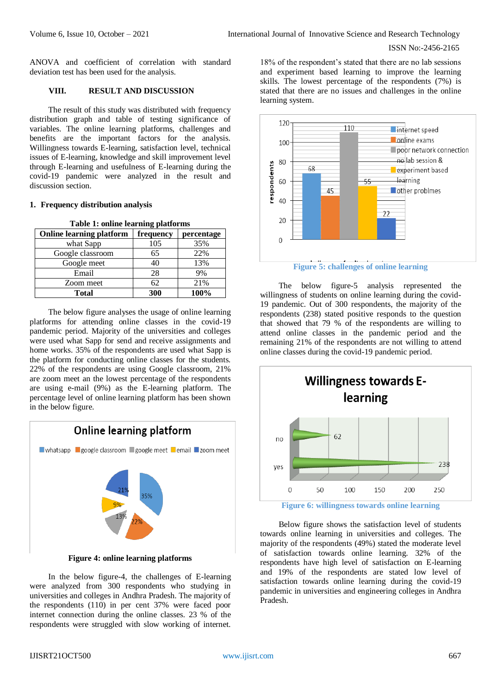ANOVA and coefficient of correlation with standard deviation test has been used for the analysis.

## **VIII. RESULT AND DISCUSSION**

The result of this study was distributed with frequency distribution graph and table of testing significance of variables. The online learning platforms, challenges and benefits are the important factors for the analysis. Willingness towards E-learning, satisfaction level, technical issues of E-learning, knowledge and skill improvement level through E-learning and usefulness of E-learning during the covid-19 pandemic were analyzed in the result and discussion section.

## **1. Frequency distribution analysis**

| <b>Online learning platform</b> | frequency | percentage |
|---------------------------------|-----------|------------|
| what Sapp                       | 105       | 35%        |
| Google classroom                | 65        | 22%        |
| Google meet                     | 40        | 13%        |
| Email                           | 28        | 9%         |
| Zoom meet                       | 62        | 21%        |
| <b>Total</b>                    | 300       | 100%       |

The below figure analyses the usage of online learning platforms for attending online classes in the covid-19 pandemic period. Majority of the universities and colleges were used what Sapp for send and receive assignments and home works. 35% of the respondents are used what Sapp is the platform for conducting online classes for the students. 22% of the respondents are using Google classroom, 21% are zoom meet an the lowest percentage of the respondents are using e-mail (9%) as the E-learning platform. The percentage level of online learning platform has been shown in the below figure.



**Figure 4: online learning platforms**

In the below figure-4, the challenges of E-learning were analyzed from 300 respondents who studying in universities and colleges in Andhra Pradesh. The majority of the respondents (110) in per cent 37% were faced poor internet connection during the online classes. 23 % of the respondents were struggled with slow working of internet.

18% of the respondent's stated that there are no lab sessions and experiment based learning to improve the learning skills. The lowest percentage of the respondents (7%) is stated that there are no issues and challenges in the online learning system.



The below figure-5 analysis represented the willingness of students on online learning during the covid-19 pandemic. Out of 300 respondents, the majority of the respondents (238) stated positive responds to the question that showed that 79 % of the respondents are willing to attend online classes in the pandemic period and the remaining 21% of the respondents are not willing to attend online classes during the covid-19 pandemic period.



**Figure 6: willingness towards online learning**

Below figure shows the satisfaction level of students towards online learning in universities and colleges. The majority of the respondents (49%) stated the moderate level of satisfaction towards online learning. 32% of the respondents have high level of satisfaction on E-learning and 19% of the respondents are stated low level of satisfaction towards online learning during the covid-19 pandemic in universities and engineering colleges in Andhra Pradesh.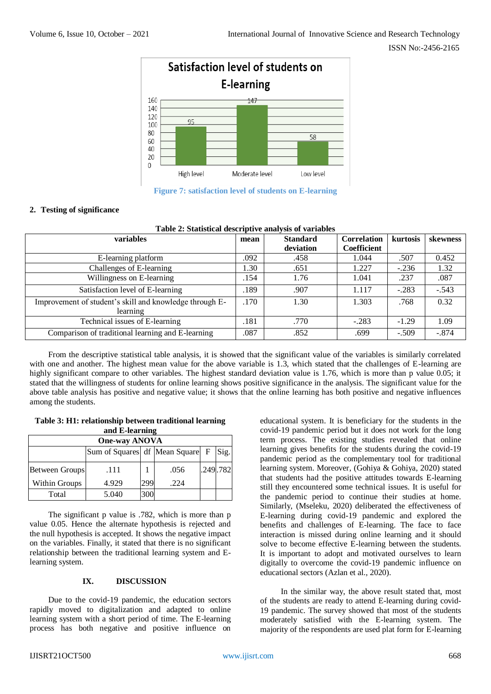

**Figure 7: satisfaction level of students on E-learning**

# **2. Testing of significance**

| Table 2: Statistical descriptive analysis of variables              |      |                 |                    |          |          |  |  |  |  |
|---------------------------------------------------------------------|------|-----------------|--------------------|----------|----------|--|--|--|--|
| <b>variables</b>                                                    | mean | <b>Standard</b> | <b>Correlation</b> | kurtosis | skewness |  |  |  |  |
|                                                                     |      | deviation       | <b>Coefficient</b> |          |          |  |  |  |  |
| E-learning platform                                                 | .092 | .458            | 1.044              | .507     | 0.452    |  |  |  |  |
| Challenges of E-learning                                            | 1.30 | .651            | 1.227              | $-.236$  | 1.32     |  |  |  |  |
| Willingness on E-learning                                           | .154 | 1.76            | 1.041              | .237     | .087     |  |  |  |  |
| Satisfaction level of E-learning                                    | .189 | .907            | 1.117              | $-.283$  | $-.543$  |  |  |  |  |
| Improvement of student's skill and knowledge through E-<br>learning | .170 | 1.30            | 1.303              | .768     | 0.32     |  |  |  |  |
| Technical issues of E-learning                                      | .181 | .770            | $-.283$            | $-1.29$  | 1.09     |  |  |  |  |
| Comparison of traditional learning and E-learning                   | .087 | .852            | .699               | $-.509$  | $-.874$  |  |  |  |  |

From the descriptive statistical table analysis, it is showed that the significant value of the variables is similarly correlated with one and another. The highest mean value for the above variable is 1.3, which stated that the challenges of E-learning are highly significant compare to other variables. The highest standard deviation value is 1.76, which is more than p value 0.05; it stated that the willingness of students for online learning shows positive significance in the analysis. The significant value for the above table analysis has positive and negative value; it shows that the online learning has both positive and negative influences among the students.

# **Table 3: H1: relationship between traditional learning and E-learning**

| <b>One-way ANOVA</b>  |                                            |     |      |          |  |  |  |
|-----------------------|--------------------------------------------|-----|------|----------|--|--|--|
|                       | Sum of Squares df   Mean Square   F   Sig. |     |      |          |  |  |  |
| <b>Between Groups</b> | .111                                       |     | .056 | .249.782 |  |  |  |
| Within Groups         | 4.929                                      | 299 | .224 |          |  |  |  |
| Total                 | 5.040                                      | 300 |      |          |  |  |  |

The significant p value is .782, which is more than p value 0.05. Hence the alternate hypothesis is rejected and the null hypothesis is accepted. It shows the negative impact on the variables. Finally, it stated that there is no significant relationship between the traditional learning system and Elearning system.

# **IX. DISCUSSION**

Due to the covid-19 pandemic, the education sectors rapidly moved to digitalization and adapted to online learning system with a short period of time. The E-learning process has both negative and positive influence on

educational system. It is beneficiary for the students in the covid-19 pandemic period but it does not work for the long term process. The existing studies revealed that online learning gives benefits for the students during the covid-19 pandemic period as the complementary tool for traditional learning system. Moreover, [\(Gohiya & Gohiya, 2020\)](https://docs.google.com/document/d/14d1I0_-EH1RoxxK8LMB_R7DRbWTv8_CQ/edit#heading=h.26in1rg) stated that students had the positive attitudes towards E-learning still they encountered some technical issues. It is useful for the pandemic period to continue their studies at home. Similarly, [\(Mseleku, 2020\)](https://docs.google.com/document/d/14d1I0_-EH1RoxxK8LMB_R7DRbWTv8_CQ/edit#heading=h.2jxsxqh) deliberated the effectiveness of E-learning during covid-19 pandemic and explored the benefits and challenges of E-learning. The face to face interaction is missed during online learning and it should solve to become effective E-learning between the students. It is important to adopt and motivated ourselves to learn digitally to overcome the covid-19 pandemic influence on educational sectors [\(Azlan et al., 2020\)](https://docs.google.com/document/d/14d1I0_-EH1RoxxK8LMB_R7DRbWTv8_CQ/edit#heading=h.1t3h5sf).

In the similar way, the above result stated that, most of the students are ready to attend E-learning during covid-19 pandemic. The survey showed that most of the students moderately satisfied with the E-learning system. The majority of the respondents are used plat form for E-learning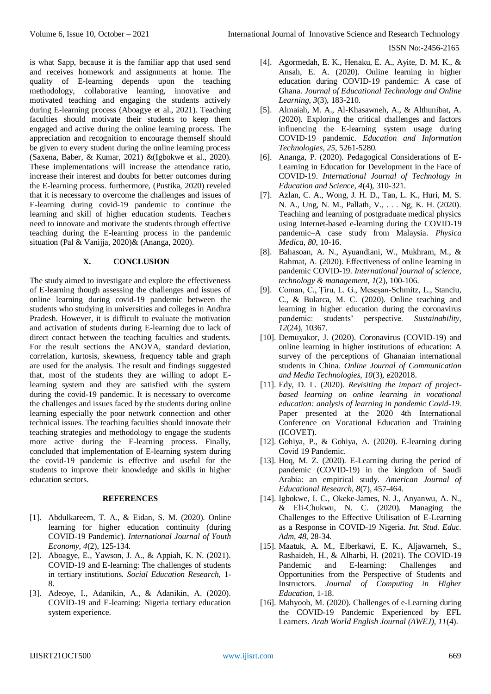is what Sapp, because it is the familiar app that used send and receives homework and assignments at home. The quality of E-learning depends upon the teaching methodology, collaborative learning, innovative and motivated teaching and engaging the students actively during E-learning process [\(Aboagye et al., 2021\)](https://docs.google.com/document/d/14d1I0_-EH1RoxxK8LMB_R7DRbWTv8_CQ/edit#heading=h.1fob9te). Teaching faculties should motivate their students to keep them engaged and active during the online learning process. The appreciation and recognition to encourage themself should be given to every student during the online learning process [\(Saxena, Baber, & Kumar, 2021\)](https://docs.google.com/document/d/14d1I0_-EH1RoxxK8LMB_R7DRbWTv8_CQ/edit#heading=h.1ci93xb) &[\(Igbokwe et al., 2020\)](https://docs.google.com/document/d/14d1I0_-EH1RoxxK8LMB_R7DRbWTv8_CQ/edit#heading=h.35nkun2). These implementations will increase the attendance ratio, increase their interest and doubts for better outcomes during the E-learning process. furthermore, [\(Pustika, 2020\)](https://docs.google.com/document/d/14d1I0_-EH1RoxxK8LMB_R7DRbWTv8_CQ/edit#heading=h.1y810tw) reveled that it is necessary to overcome the challenges and issues of E-learning during covid-19 pandemic to continue the learning and skill of higher education students. Teachers need to innovate and motivate the students through effective teaching during the E-learning process in the pandemic situation [\(Pal & Vanijja, 2020\)](https://docs.google.com/document/d/14d1I0_-EH1RoxxK8LMB_R7DRbWTv8_CQ/edit#heading=h.3j2qqm3)& [\(Ananga, 2020\)](https://docs.google.com/document/d/14d1I0_-EH1RoxxK8LMB_R7DRbWTv8_CQ/edit#heading=h.3dy6vkm).

# **X. CONCLUSION**

The study aimed to investigate and explore the effectiveness of E-learning though assessing the challenges and issues of online learning during covid-19 pandemic between the students who studying in universities and colleges in Andhra Pradesh. However, it is difficult to evaluate the motivation and activation of students during E-learning due to lack of direct contact between the teaching faculties and students. For the result sections the ANOVA, standard deviation, correlation, kurtosis, skewness, frequency table and graph are used for the analysis. The result and findings suggested that, most of the students they are willing to adopt Elearning system and they are satisfied with the system during the covid-19 pandemic. It is necessary to overcome the challenges and issues faced by the students during online learning especially the poor network connection and other technical issues. The teaching faculties should innovate their teaching strategies and methodology to engage the students more active during the E-learning process. Finally, concluded that implementation of E-learning system during the covid-19 pandemic is effective and useful for the students to improve their knowledge and skills in higher education sectors.

# **REFERENCES**

- [1]. Abdulkareem, T. A., & Eidan, S. M. (2020). Online learning for higher education continuity (during COVID-19 Pandemic). *International Journal of Youth Economy, 4*(2), 125-134.
- [2]. Aboagye, E., Yawson, J. A., & Appiah, K. N. (2021). COVID-19 and E-learning: The challenges of students in tertiary institutions. *Social Education Research*, 1- 8.
- [3]. Adeoye, I., Adanikin, A., & Adanikin, A. (2020). COVID-19 and E-learning: Nigeria tertiary education system experience.
- [4]. Agormedah, E. K., Henaku, E. A., Ayite, D. M. K., & Ansah, E. A. (2020). Online learning in higher education during COVID-19 pandemic: A case of Ghana. *Journal of Educational Technology and Online Learning, 3*(3), 183-210.
- [5]. Almaiah, M. A., Al-Khasawneh, A., & Althunibat, A. (2020). Exploring the critical challenges and factors influencing the E-learning system usage during COVID-19 pandemic. *Education and Information Technologies, 25*, 5261-5280.
- [6]. Ananga, P. (2020). Pedagogical Considerations of E-Learning in Education for Development in the Face of COVID-19. *International Journal of Technology in Education and Science, 4*(4), 310-321.
- [7]. Azlan, C. A., Wong, J. H. D., Tan, L. K., Huri, M. S. N. A., Ung, N. M., Pallath, V., . . . Ng, K. H. (2020). Teaching and learning of postgraduate medical physics using Internet-based e-learning during the COVID-19 pandemic–A case study from Malaysia. *Physica Medica, 80*, 10-16.
- [8]. Bahasoan, A. N., Ayuandiani, W., Mukhram, M., & Rahmat, A. (2020). Effectiveness of online learning in pandemic COVID-19. *International journal of science, technology & management, 1*(2), 100-106.
- [9]. Coman, C., Țîru, L. G., Meseșan-Schmitz, L., Stanciu, C., & Bularca, M. C. (2020). Online teaching and learning in higher education during the coronavirus pandemic: students' perspective. *Sustainability, 12*(24), 10367.
- [10]. Demuyakor, J. (2020). Coronavirus (COVID-19) and online learning in higher institutions of education: A survey of the perceptions of Ghanaian international students in China. *Online Journal of Communication and Media Technologies, 10*(3), e202018.
- [11]. Edy, D. L. (2020). *Revisiting the impact of projectbased learning on online learning in vocational education: analysis of learning in pandemic Covid-19.* Paper presented at the 2020 4th International Conference on Vocational Education and Training (ICOVET).
- [12]. Gohiya, P., & Gohiya, A. (2020). E-learning during Covid 19 Pandemic.
- [13]. Hoq, M. Z. (2020). E-Learning during the period of pandemic (COVID-19) in the kingdom of Saudi Arabia: an empirical study. *American Journal of Educational Research, 8*(7), 457-464.
- [14]. Igbokwe, I. C., Okeke-James, N. J., Anyanwu, A. N., & Eli-Chukwu, N. C. (2020). Managing the Challenges to the Effective Utilisation of E-Learning as a Response in COVID-19 Nigeria. *Int. Stud. Educ. Adm, 48*, 28-34.
- [15]. Maatuk, A. M., Elberkawi, E. K., Aljawarneh, S., Rashaideh, H., & Alharbi, H. (2021). The COVID-19 Pandemic and E-learning: Challenges and Opportunities from the Perspective of Students and Instructors. *Journal of Computing in Higher Education*, 1-18.
- [16]. Mahyoob, M. (2020). Challenges of e-Learning during the COVID-19 Pandemic Experienced by EFL Learners. *Arab World English Journal (AWEJ), 11*(4).